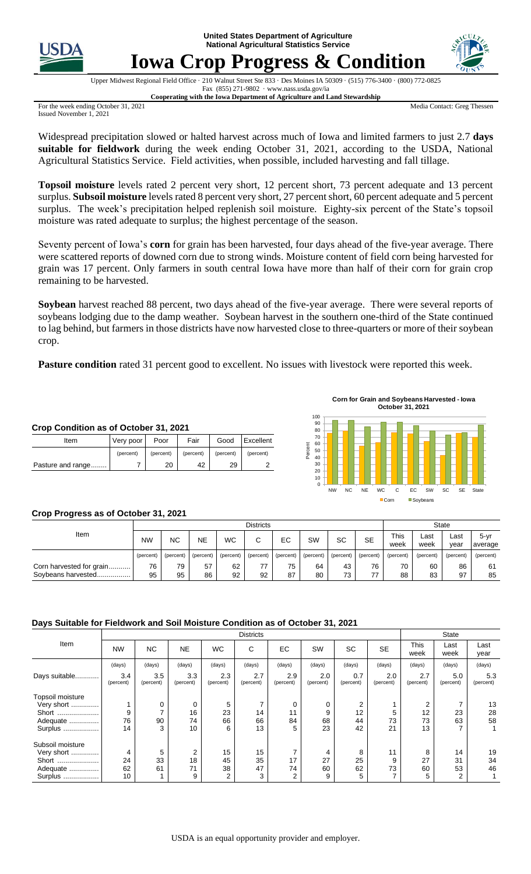**United States Department of Agriculture National Agricultural Statistics Service**



# **Iowa Crop Progress & Condition**



Upper Midwest Regional Field Office · 210 Walnut Street Ste 833 · Des Moines IA 50309 · (515) 776-3400 · (800) 772-0825 Fax (855) 271-9802 · www.nass.usda.gov/ia **Cooperating with the Iowa Department of Agriculture and Land Stewardship**

For the week ending October 31, 2021 Issued November 1, 2021

Media Contact: Greg Thessen

Widespread precipitation slowed or halted harvest across much of Iowa and limited farmers to just 2.7 **days suitable for fieldwork** during the week ending October 31, 2021, according to the USDA, National Agricultural Statistics Service. Field activities, when possible, included harvesting and fall tillage.

**Topsoil moisture** levels rated 2 percent very short, 12 percent short, 73 percent adequate and 13 percent surplus. **Subsoil moisture** levels rated 8 percent very short, 27 percent short, 60 percent adequate and 5 percent surplus. The week's precipitation helped replenish soil moisture. Eighty-six percent of the State's topsoil moisture was rated adequate to surplus; the highest percentage of the season.

Seventy percent of Iowa's **corn** for grain has been harvested, four days ahead of the five-year average. There were scattered reports of downed corn due to strong winds. Moisture content of field corn being harvested for grain was 17 percent. Only farmers in south central Iowa have more than half of their corn for grain crop remaining to be harvested.

**Soybean** harvest reached 88 percent, two days ahead of the five-year average. There were several reports of soybeans lodging due to the damp weather. Soybean harvest in the southern one-third of the State continued to lag behind, but farmers in those districts have now harvested close to three-quarters or more of their soybean crop.

**Pasture condition** rated 31 percent good to excellent. No issues with livestock were reported this week.

| Crop Condition as of October 31, 2021 |           |           |           |           |           |  |  |  |  |  |  |
|---------------------------------------|-----------|-----------|-----------|-----------|-----------|--|--|--|--|--|--|
| Item                                  | Very poor | Poor      | Fair      | Good      | Excellent |  |  |  |  |  |  |
|                                       | (percent) | (percent) | (percent) | (percent) | (percent) |  |  |  |  |  |  |
| Pasture and range                     |           | 20        | 42        | 29        |           |  |  |  |  |  |  |



## **Crop Progress as of October 31, 2021**

|                                                | <b>Districts</b> |           |           |           |           |           |           |           |           | <b>State</b>        |              |              |                     |
|------------------------------------------------|------------------|-----------|-----------|-----------|-----------|-----------|-----------|-----------|-----------|---------------------|--------------|--------------|---------------------|
| Item                                           | <b>NW</b>        | ΝC        | <b>NE</b> | <b>WC</b> | ⌒<br>U    | EC        | SW        | SC        | <b>SE</b> | <b>This</b><br>week | Last<br>week | ∟ast<br>vear | $5 - yr$<br>average |
|                                                | (percent)        | (percent) | (percent) | (percent) | (percent) | (percent) | (percent) | (percent) | (percent) | (percent)           | (percent)    | (percent)    | (percent)           |
| Corn harvested for grain<br>Soybeans harvested | 76<br>95         | 79<br>95  | 57<br>86  | 62<br>92  | 92        | 75<br>87  | 64<br>80  | 43<br>73  | 76<br>77  | 70<br>88            | 60<br>83     | 86<br>97     | 61<br>85            |

## **Days Suitable for Fieldwork and Soil Moisture Condition as of October 31, 2021**

|                  |                  |                  | State            |                  |                  |                  |                  |                  |                  |                  |                  |                  |
|------------------|------------------|------------------|------------------|------------------|------------------|------------------|------------------|------------------|------------------|------------------|------------------|------------------|
| Item             | <b>NW</b>        | <b>NC</b>        | <b>NE</b>        | <b>WC</b>        | C                | EC               | SW               | <b>SC</b>        | <b>SE</b>        | This<br>week     | Last<br>week     | Last<br>year     |
|                  | (days)           | (days)           | (days)           | (days)           | (days)           | (days)           | (days)           | (days)           | (days)           | (days)           | (days)           | (days)           |
| Days suitable    | 3.4<br>(percent) | 3.5<br>(percent) | 3.3<br>(percent) | 2.3<br>(percent) | 2.7<br>(percent) | 2.9<br>(percent) | 2.0<br>(percent) | 0.7<br>(percent) | 2.0<br>(percent) | 2.7<br>(percent) | 5.0<br>(percent) | 5.3<br>(percent) |
| Topsoil moisture |                  |                  |                  |                  |                  |                  |                  |                  |                  |                  |                  |                  |
| Very short       |                  | 0                | 0                | 5                |                  | 0                | 0                | 2                |                  | 2                |                  | 13               |
| Short            | 9                |                  | 16               | 23               | 14               | 11               | 9                | 12               | 5                | 12               | 23               | 28               |
| Adequate         | 76               | 90               | 74               | 66               | 66               | 84               | 68               | 44               | 73               | 73               | 63               | 58               |
| Surplus          | 14               | 3                | 10               | 6                | 13               | 5                | 23               | 42               | 21               | 13               |                  |                  |
| Subsoil moisture |                  |                  |                  |                  |                  |                  |                  |                  |                  |                  |                  |                  |
| Very short       | 4                | 5                | 2                | 15               | 15               | 7                | 4                | 8                | 11               | 8                | 14               | 19               |
| Short            | 24               | 33               | 18               | 45               | 35               | 17               | 27               | 25               | 9                | 27               | 31               | 34               |
| Adequate         | 62               | 61               | 71               | 38               | 47               | 74               | 60               | 62               | 73               | 60               | 53               | 46               |
| Surplus          | 10               |                  | 9                | 2                | 3                | 2                | 9                | 5                | ⇁                | 5                | 2                |                  |